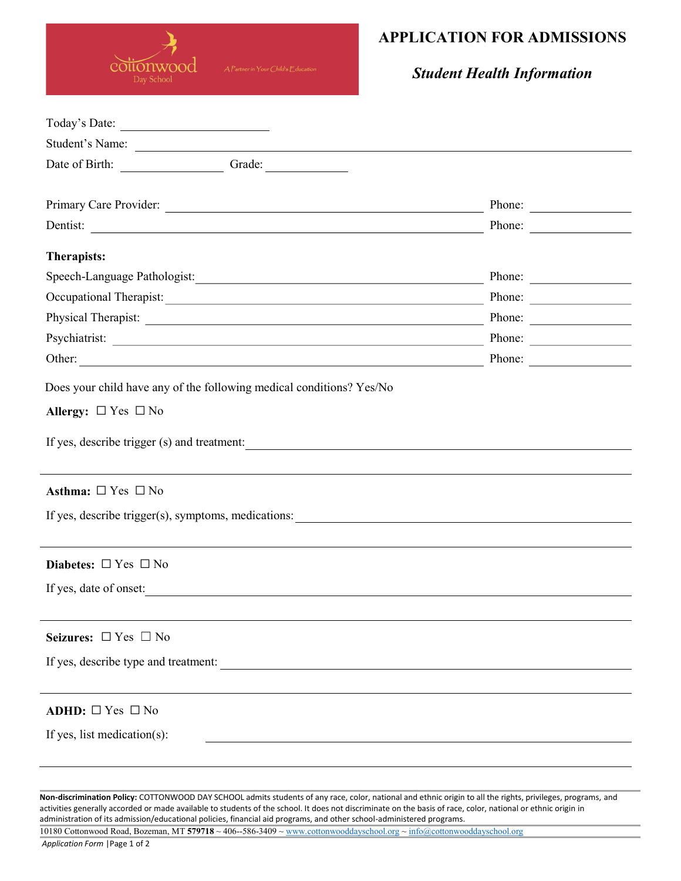

## APPLICATION FOR ADMISSIONS

Student Health Information

| Student's Name:                                                                                                                                                                                                                |                        |  |
|--------------------------------------------------------------------------------------------------------------------------------------------------------------------------------------------------------------------------------|------------------------|--|
| Date of Birth: Camera Crade:                                                                                                                                                                                                   |                        |  |
|                                                                                                                                                                                                                                |                        |  |
|                                                                                                                                                                                                                                | Phone: $\qquad \qquad$ |  |
| Dentist:                                                                                                                                                                                                                       | Phone:                 |  |
| Therapists:                                                                                                                                                                                                                    |                        |  |
| Speech-Language Pathologist:                                                                                                                                                                                                   | Phone:                 |  |
| Occupational Therapist: New York Channel Contract Channel Channel Channel Channel Channel Channel Channel Channel Channel Channel Channel Channel Channel Channel Channel Channel Channel Channel Channel Channel Channel Chan | Phone:                 |  |
|                                                                                                                                                                                                                                | Phone: $\qquad \qquad$ |  |
|                                                                                                                                                                                                                                | Phone:                 |  |
|                                                                                                                                                                                                                                | Phone:                 |  |
| Does your child have any of the following medical conditions? Yes/No                                                                                                                                                           |                        |  |
| Allergy: $\Box$ Yes $\Box$ No                                                                                                                                                                                                  |                        |  |
| If yes, describe trigger (s) and treatment:                                                                                                                                                                                    |                        |  |
| Asthma: $\Box$ Yes $\Box$ No                                                                                                                                                                                                   |                        |  |
| If yes, describe trigger(s), symptoms, medications:                                                                                                                                                                            |                        |  |
| Diabetes: $\Box$ Yes $\Box$ No                                                                                                                                                                                                 |                        |  |
| If yes, date of onset:                                                                                                                                                                                                         |                        |  |
| Seizures: $\Box$ Yes $\Box$ No                                                                                                                                                                                                 |                        |  |
| If yes, describe type and treatment:                                                                                                                                                                                           |                        |  |
| ADHD: $\Box$ Yes $\Box$ No                                                                                                                                                                                                     |                        |  |
|                                                                                                                                                                                                                                |                        |  |
| If yes, list medication(s):                                                                                                                                                                                                    |                        |  |
|                                                                                                                                                                                                                                |                        |  |
|                                                                                                                                                                                                                                |                        |  |

Non-discrimination Policy: COTTONWOOD DAY SCHOOL admits students of any race, color, national and ethnic origin to all the rights, privileges, programs, and activities generally accorded or made available to students of the school. It does not discriminate on the basis of race, color, national or ethnic origin in administration of its admission/educational policies, financial aid programs, and other school-administered programs.